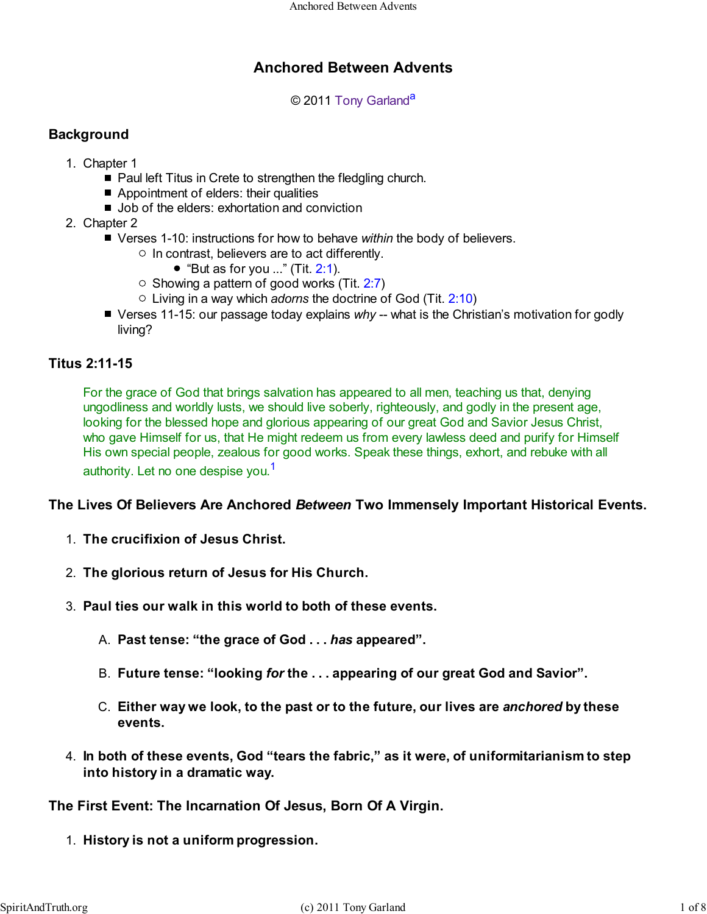# **Anchored Between Advents**

© 2011 Tony Garland<sup>a</sup>

## **Background**

- 1. Chapter 1
	- Paul left Titus in Crete to strengthen the fledgling church.
	- Appointment of elders: their qualities
	- Job of the elders: exhortation and conviction
- 2. Chapter 2
	- Verses 1-10: instructions for how to behave *within* the body of believers.
		- $\circ$  In contrast, believers are to act differently.
			- $\bullet$  "But as for you ..." (Tit. 2:1).
		- $\circ$  Showing a pattern of good works (Tit. 2:7)
		- Living in a way which *adorns* the doctrine of God (Tit. 2:10)
	- Verses 11-15: our passage today explains *why* -- what is the Christian's motivation for godly living?

## **Titus 2:11-15**

For the grace of God that brings salvation has appeared to all men, teaching us that, denying ungodliness and worldly lusts, we should live soberly, righteously, and godly in the present age, looking for the blessed hope and glorious appearing of our great God and Savior Jesus Christ, who gave Himself for us, that He might redeem us from every lawless deed and purify for Himself His own special people, zealous for good works. Speak these things, exhort, and rebuke with all authority. Let no one despise you.<sup>1</sup>

#### **The Lives Of Believers Are Anchored** *Between* **Two Immensely Important Historical Events.**

- 1. **The crucifixion of Jesus Christ.**
- 2. **The glorious return of Jesus for His Church.**
- 3. **Paul ties our walk in this world to both of these events.**
	- A. **Past tense: "the grace of God . . .** *has* **appeared".**
	- B. **Future tense: "looking** *for* **the . . . appearing of our great God and Savior".**
	- **Either way we look, to the past or to the future, our lives are** *anchored* **by these** C. **events.**
- **In both of these events, God "tears the fabric," as it were, of uniformitarianism to step** 4. **into history in a dramatic way.**

## **The First Event: The Incarnation Of Jesus, Born Of A Virgin.**

1. **History is not a uniform progression.**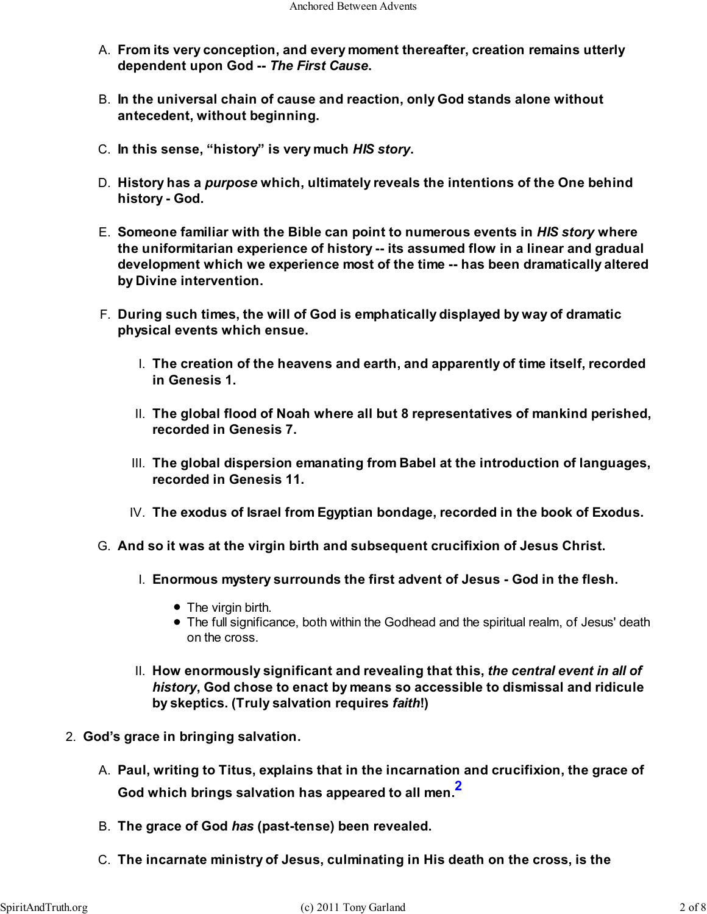- **From its very conception, and every moment thereafter, creation remains utterly** A. **dependent upon God --** *The First Cause***.**
- **In the universal chain of cause and reaction, only God stands alone without** B. **antecedent, without beginning.**
- C. **In this sense, "history" is very much** *HIS story***.**
- **History has a** *purpose* **which, ultimately reveals the intentions of the One behind** D. **history - God.**
- **Someone familiar with the Bible can point to numerous events in** *HIS story* **where** E. **the uniformitarian experience of history -- its assumed flow in a linear and gradual development which we experience most of the time -- has been dramatically altered by Divine intervention.**
- **During such times, the will of God is emphatically displayed by way of dramatic** F. **physical events which ensue.**
	- **The creation of the heavens and earth, and apparently of time itself, recorded** I. **in Genesis 1.**
	- **The global flood of Noah where all but 8 representatives of mankind perished,** II. **recorded in Genesis 7.**
	- **The global dispersion emanating from Babel at the introduction of languages,** III. **recorded in Genesis 11.**
	- IV. **The exodus of Israel from Egyptian bondage, recorded in the book of Exodus.**
- G. **And so it was at the virgin birth and subsequent crucifixion of Jesus Christ.**
	- **Enormous mystery surrounds the first advent of Jesus God in the flesh.** I.
		- The virgin birth.
		- The full significance, both within the Godhead and the spiritual realm, of Jesus' death on the cross.
	- **How enormously significant and revealing that this,** *the central event in all of* II. *history***, God chose to enact by means so accessible to dismissal and ridicule by skeptics. (Truly salvation requires** *faith***!)**
- 2. **God's grace in bringing salvation.**
	- **Paul, writing to Titus, explains that in the incarnation and crucifixion, the grace of** A. **God which brings salvation has appeared to all men.2**
	- B. **The grace of God** *has* **(past-tense) been revealed.**
	- C. **The incarnate ministry of Jesus, culminating in His death on the cross, is the**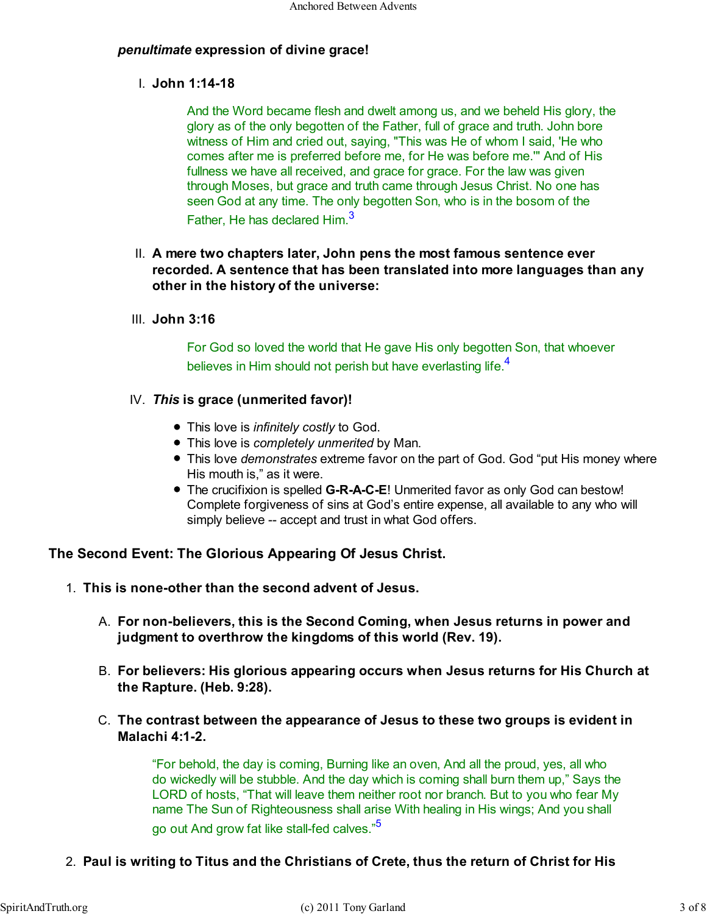## *penultimate* **expression of divine grace!**

**John 1:14-18** I.

And the Word became flesh and dwelt among us, and we beheld His glory, the glory as of the only begotten of the Father, full of grace and truth. John bore witness of Him and cried out, saying, "This was He of whom I said, 'He who comes after me is preferred before me, for He was before me.'" And of His fullness we have all received, and grace for grace. For the law was given through Moses, but grace and truth came through Jesus Christ. No one has seen God at any time. The only begotten Son, who is in the bosom of the Father, He has declared Him.<sup>3</sup>

## **A mere two chapters later, John pens the most famous sentence ever** II. **recorded. A sentence that has been translated into more languages than any other in the history of the universe:**

**John 3:16** III.

For God so loved the world that He gave His only begotten Son, that whoever believes in Him should not perish but have everlasting life.<sup>4</sup>

## *This* **is grace (unmerited favor)!** IV.

- This love is *infinitely costly* to God.
- This love is *completely unmerited* by Man.
- This love *demonstrates* extreme favor on the part of God. God "put His money where His mouth is," as it were.
- The crucifixion is spelled **G-R-A-C-E**! Unmerited favor as only God can bestow! Complete forgiveness of sins at God's entire expense, all available to any who will simply believe -- accept and trust in what God offers.

## **The Second Event: The Glorious Appearing Of Jesus Christ.**

- 1. **This is none-other than the second advent of Jesus.**
	- **For non-believers, this is the Second Coming, when Jesus returns in power and** A. **judgment to overthrow the kingdoms of this world (Rev. 19).**
	- **For believers: His glorious appearing occurs when Jesus returns for His Church at** B. **the Rapture. (Heb. 9:28).**
	- **The contrast between the appearance of Jesus to these two groups is evident in** C. **Malachi 4:1-2.**

"For behold, the day is coming, Burning like an oven, And all the proud, yes, all who do wickedly will be stubble. And the day which is coming shall burn them up," Says the LORD of hosts, "That will leave them neither root nor branch. But to you who fear My name The Sun of Righteousness shall arise With healing in His wings; And you shall go out And grow fat like stall-fed calves."<sup>5</sup>

2. **Paul is writing to Titus and the Christians of Crete, thus the return of Christ for His**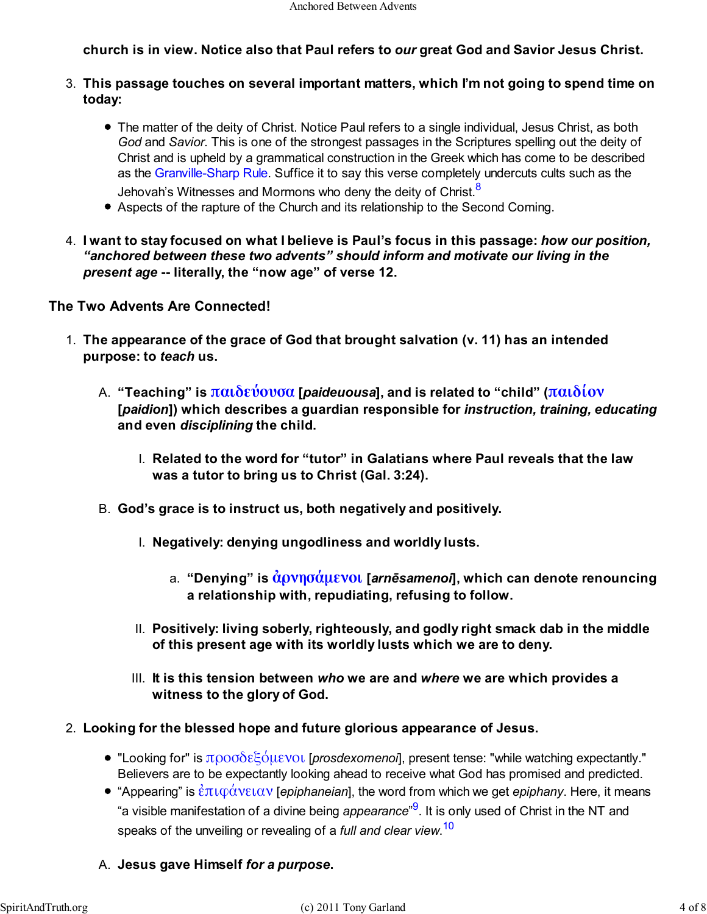## **church is in view. Notice also that Paul refers to** *our* **great God and Savior Jesus Christ.**

- **This passage touches on several important matters, which I'm not going to spend time on** 3. **today:**
	- The matter of the deity of Christ. Notice Paul refers to a single individual, Jesus Christ, as both *God* and *Savior*. This is one of the strongest passages in the Scriptures spelling out the deity of Christ and is upheld by a grammatical construction in the Greek which has come to be described as the Granville-Sharp Rule. Suffice it to say this verse completely undercuts cults such as the Jehovah's Witnesses and Mormons who deny the deity of Christ.<sup>8</sup>
	- Aspects of the rapture of the Church and its relationship to the Second Coming.
- **I want to stay focused on what I believe is Paul's focus in this passage:** *how our position,* 4. *"anchored between these two advents" should inform and motivate our living in the present age* **-- literally, the "now age" of verse 12.**

## **The Two Advents Are Connected!**

- **The appearance of the grace of God that brought salvation (v. 11) has an intended** 1. **purpose: to** *teach* **us.**
	- **"Teaching" is παιδεύουσα [***paideuousa***], and is related to "child" (παιδίον** A. **[***paidion***]) which describes a guardian responsible for** *instruction, training, educating* **and even** *disciplining* **the child.**
		- **Related to the word for "tutor" in Galatians where Paul reveals that the law** I. **was a tutor to bring us to Christ (Gal. 3:24).**
	- B. **God's grace is to instruct us, both negatively and positively.**
		- I. **Negatively: denying ungodliness and worldly lusts.**
			- **"Denying" is ἀρνησάµενοι [***arnēsamenoi***], which can denote renouncing** a. **a relationship with, repudiating, refusing to follow.**
		- **Positively: living soberly, righteously, and godly right smack dab in the middle** II. **of this present age with its worldly lusts which we are to deny.**
		- **It is this tension between** *who* **we are and** *where* **we are which provides a** III. **witness to the glory of God.**
- **Looking for the blessed hope and future glorious appearance of Jesus.** 2.
	- "Looking for" is προσδεξόµενοι [*prosdexomenoi*], present tense: "while watching expectantly." Believers are to be expectantly looking ahead to receive what God has promised and predicted.
	- "Appearing" is ἐπιφάνειαν [*epiphaneian*], the word from which we get *epiphany*. Here, it means "a visible manifestation of a divine being *appearance*" 9 . It is only used of Christ in the NT and speaks of the unveiling or revealing of a *full and clear view*. 10
	- A. **Jesus gave Himself** *for a purpose***.**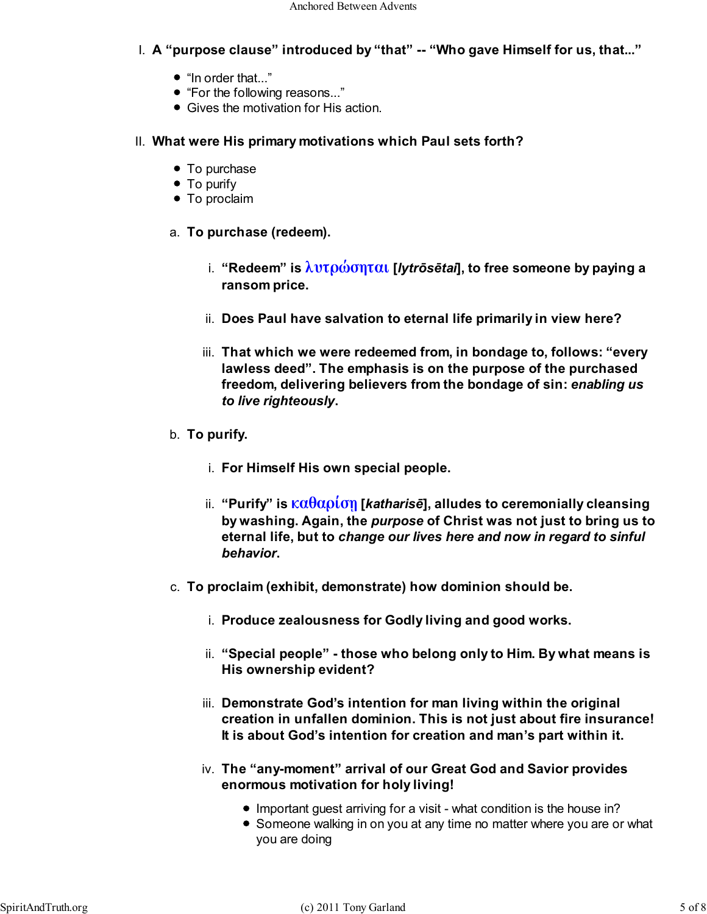- **A "purpose clause" introduced by "that" -- "Who gave Himself for us, that..."** I.
	- "In order that..."
	- "For the following reasons..."
	- Gives the motivation for His action.
- **What were His primary motivations which Paul sets forth?** II.
	- To purchase
	- To purify
	- To proclaim
	- a. **To purchase (redeem).**
		- **"Redeem" is λυτρώσηται [***lytrōsētai***], to free someone by paying a** i. **ransom price.**
		- ii. **Does Paul have salvation to eternal life primarily in view here?**
		- **That which we were redeemed from, in bondage to, follows: "every** iii. **lawless deed". The emphasis is on the purpose of the purchased freedom, delivering believers from the bondage of sin:** *enabling us to live righteously***.**
	- b. **To purify.**
		- i. **For Himself His own special people.**
		- **"Purify" is καθαρίσῃ [***katharisē***], alludes to ceremonially cleansing** ii. **by washing. Again, the** *purpose* **of Christ was not just to bring us to eternal life, but to** *change our lives here and now in regard to sinful behavior***.**
	- c. **To proclaim (exhibit, demonstrate) how dominion should be.**
		- i. **Produce zealousness for Godly living and good works.**
		- **"Special people" those who belong only to Him. By what means is** ii. **His ownership evident?**
		- **Demonstrate God's intention for man living within the original** iii. **creation in unfallen dominion. This is not just about fire insurance! It is about God's intention for creation and man's part within it.**
		- **The "any-moment" arrival of our Great God and Savior provides** iv. **enormous motivation for holy living!**
			- Important guest arriving for a visit what condition is the house in?
			- Someone walking in on you at any time no matter where you are or what you are doing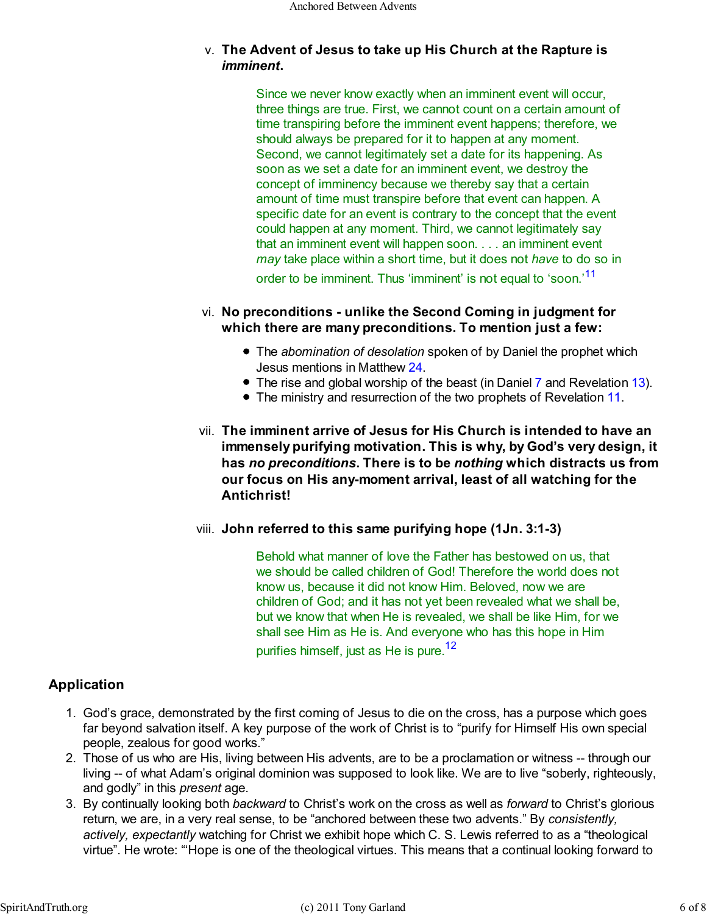## **The Advent of Jesus to take up His Church at the Rapture is** v. *imminent***.**

Since we never know exactly when an imminent event will occur, three things are true. First, we cannot count on a certain amount of time transpiring before the imminent event happens; therefore, we should always be prepared for it to happen at any moment. Second, we cannot legitimately set a date for its happening. As soon as we set a date for an imminent event, we destroy the concept of imminency because we thereby say that a certain amount of time must transpire before that event can happen. A specific date for an event is contrary to the concept that the event could happen at any moment. Third, we cannot legitimately say that an imminent event will happen soon. . . . an imminent event *may* take place within a short time, but it does not *have* to do so in order to be imminent. Thus 'imminent' is not equal to 'soon.'<sup>11</sup>

### **No preconditions - unlike the Second Coming in judgment for** vi. **which there are many preconditions. To mention just a few:**

- The *abomination of desolation* spoken of by Daniel the prophet which Jesus mentions in Matthew 24.
- The rise and global worship of the beast (in Daniel 7 and Revelation 13).
- The ministry and resurrection of the two prophets of Revelation 11.
- **The imminent arrive of Jesus for His Church is intended to have an** vii. **immensely purifying motivation. This is why, by God's very design, it has** *no preconditions***. There is to be** *nothing* **which distracts us from our focus on His any-moment arrival, least of all watching for the Antichrist!**
- **John referred to this same purifying hope (1Jn. 3:1-3)** viii.

Behold what manner of love the Father has bestowed on us, that we should be called children of God! Therefore the world does not know us, because it did not know Him. Beloved, now we are children of God; and it has not yet been revealed what we shall be, but we know that when He is revealed, we shall be like Him, for we shall see Him as He is. And everyone who has this hope in Him purifies himself, just as He is pure.<sup>12</sup>

## **Application**

- God's grace, demonstrated by the first coming of Jesus to die on the cross, has a purpose which goes 1. far beyond salvation itself. A key purpose of the work of Christ is to "purify for Himself His own special people, zealous for good works."
- Those of us who are His, living between His advents, are to be a proclamation or witness -- through our 2. living -- of what Adam's original dominion was supposed to look like. We are to live "soberly, righteously, and godly" in this *present* age.
- 3. By continually looking both *backward* to Christ's work on the cross as well as *forward* to Christ's glorious return, we are, in a very real sense, to be "anchored between these two advents." By *consistently, actively, expectantly* watching for Christ we exhibit hope which C. S. Lewis referred to as a "theological virtue". He wrote: "'Hope is one of the theological virtues. This means that a continual looking forward to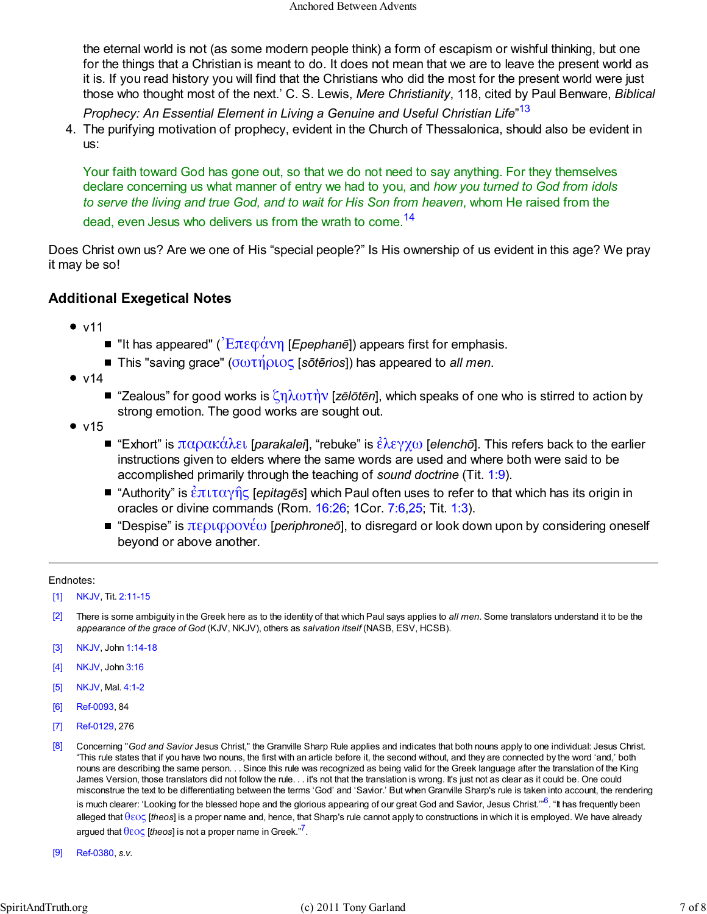the eternal world is not (as some modern people think) a form of escapism or wishful thinking, but one for the things that a Christian is meant to do. It does not mean that we are to leave the present world as it is. If you read history you will find that the Christians who did the most for the present world were just those who thought most of the next.' C. S. Lewis, *Mere Christianity*, 118, cited by Paul Benware, *Biblical*

*Prophecy: An Essential Element in Living a Genuine and Useful Christian Life*" 13

4. The purifying motivation of prophecy, evident in the Church of Thessalonica, should also be evident in us:

Your faith toward God has gone out, so that we do not need to say anything. For they themselves declare concerning us what manner of entry we had to you, and *how you turned to God from idols to serve the living and true God, and to wait for His Son from heaven*, whom He raised from the

dead, even Jesus who delivers us from the wrath to come.<sup>14</sup>

Does Christ own us? Are we one of His "special people?" Is His ownership of us evident in this age? We pray it may be so!

## **Additional Exegetical Notes**

- $\bullet$  v11
	- "It has appeared" ( $\overline{E}$ πεφάνη [*Epephanē*]) appears first for emphasis.
	- This "saving grace" (σωτήριος [*sōtērios*]) has appeared to *all men*.
- $\bullet$  v14
	- "Zealous" for good works is ζηλωτὴν [zēlōtēn], which speaks of one who is stirred to action by strong emotion. The good works are sought out.
- $\bullet$  v15
	- "Exhort" is παρακάλει [*parakalei*], "rebuke" is ἐλεγχω [*elenchō*]. This refers back to the earlier instructions given to elders where the same words are used and where both were said to be accomplished primarily through the teaching of *sound doctrine* (Tit. 1:9).
	- "Authority" is ἐπιταγῆς [*epitagēs*] which Paul often uses to refer to that which has its origin in oracles or divine commands (Rom. 16:26; 1Cor. 7:6,25; Tit. 1:3).
	- **■** "Despise" is περιφρονέω [*periphroneō*], to disregard or look down upon by considering oneself beyond or above another.

#### Endnotes:

- [1] NKJV, Tit. 2:11-15
- [2] There is some ambiguity in the Greek here as to the identity of that which Paul says applies to *all men*. Some translators understand it to be the *appearance of the grace of God* (KJV, NKJV), others as *salvation itself* (NASB, ESV, HCSB).
- [3] NKJV, John 1:14-18
- [4] NKJV, John 3:16
- [5] NKJV, Mal. 4:1-2
- [6] Ref-0093, 84
- [7] Ref-0129, 276
- [8] Concerning "*God and Savior* Jesus Christ," the Granville Sharp Rule applies and indicates that both nouns apply to one individual: Jesus Christ. "This rule states that if you have two nouns, the first with an article before it, the second without, and they are connected by the word 'and,' both nouns are describing the same person. . . Since this rule was recognized as being valid for the Greek language after the translation of the King James Version, those translators did not follow the rule. . . it's not that the translation is wrong. It's just not as clear as it could be. One could misconstrue the text to be differentiating between the terms 'God' and 'Savior.' But when Granville Sharp's rule is taken into account, the rendering is much clearer: 'Looking for the blessed hope and the glorious appearing of our great God and Savior, Jesus Christ.'"<sup>6</sup>. "It has frequently been alleged that θεος [*theos*] is a proper name and, hence, that Sharp's rule cannot apply to constructions in which it is employed. We have already argued that θεος [*theos*] is not a proper name in Greek."<sup>7</sup> .
- [9] Ref-0380, *s.v.*